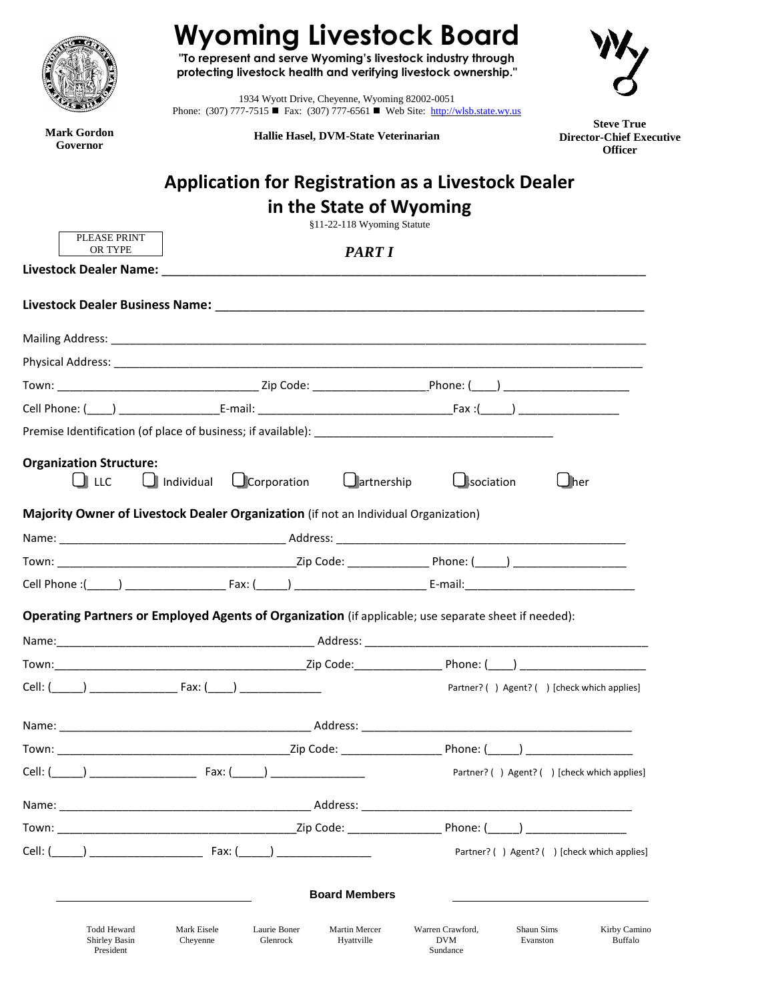

**Mark Gordon Governor**

## **Wyoming Livestock Board**

**"To represent and serve Wyoming's livestock industry through protecting livestock health and verifying livestock ownership."**

1934 Wyott Drive, Cheyenne, Wyoming 82002-0051 Phone: (307) 777-7515 ■ Fax: (307) 777-6561 ■ Web Site: [http://wlsb.state.wy.us](http://wlsb.state.wy.us/)

**Hallie Hasel, DVM-State Veterinarian**

**Steve True Director-Chief Executive Officer**

## **Application for Registration as a Livestock Dealer**

|                                                                                                                                                                                                                                                |                                         |                                                                                                      | in the State of Wyoming<br>§11-22-118 Wyoming Statute |                                             |                                             |  |  |  |  |
|------------------------------------------------------------------------------------------------------------------------------------------------------------------------------------------------------------------------------------------------|-----------------------------------------|------------------------------------------------------------------------------------------------------|-------------------------------------------------------|---------------------------------------------|---------------------------------------------|--|--|--|--|
|                                                                                                                                                                                                                                                | PLEASE PRINT<br>OR TYPE                 |                                                                                                      |                                                       |                                             |                                             |  |  |  |  |
| <b>PART I</b><br>Livestock Dealer Name: North and the contract of the contract of the contract of the contract of the contract of the contract of the contract of the contract of the contract of the contract of the contract of the contract |                                         |                                                                                                      |                                                       |                                             |                                             |  |  |  |  |
|                                                                                                                                                                                                                                                |                                         |                                                                                                      |                                                       |                                             |                                             |  |  |  |  |
|                                                                                                                                                                                                                                                |                                         |                                                                                                      |                                                       |                                             |                                             |  |  |  |  |
|                                                                                                                                                                                                                                                |                                         |                                                                                                      |                                                       |                                             |                                             |  |  |  |  |
|                                                                                                                                                                                                                                                |                                         |                                                                                                      |                                                       |                                             |                                             |  |  |  |  |
|                                                                                                                                                                                                                                                |                                         |                                                                                                      |                                                       |                                             |                                             |  |  |  |  |
|                                                                                                                                                                                                                                                |                                         |                                                                                                      |                                                       |                                             |                                             |  |  |  |  |
|                                                                                                                                                                                                                                                | <b>Organization Structure:</b><br>∐ LLC | $\Box$ Individual $\Box$ Corporation                                                                 | $\Box$ artnership                                     | $\Box$ sociation                            | $\Box$ her                                  |  |  |  |  |
|                                                                                                                                                                                                                                                |                                         | Majority Owner of Livestock Dealer Organization (if not an Individual Organization)                  |                                                       |                                             |                                             |  |  |  |  |
|                                                                                                                                                                                                                                                |                                         |                                                                                                      |                                                       |                                             |                                             |  |  |  |  |
|                                                                                                                                                                                                                                                |                                         |                                                                                                      |                                                       |                                             |                                             |  |  |  |  |
|                                                                                                                                                                                                                                                |                                         |                                                                                                      |                                                       |                                             |                                             |  |  |  |  |
|                                                                                                                                                                                                                                                |                                         | Operating Partners or Employed Agents of Organization (if applicable; use separate sheet if needed): |                                                       |                                             |                                             |  |  |  |  |
|                                                                                                                                                                                                                                                |                                         |                                                                                                      |                                                       |                                             |                                             |  |  |  |  |
|                                                                                                                                                                                                                                                |                                         |                                                                                                      |                                                       |                                             |                                             |  |  |  |  |
|                                                                                                                                                                                                                                                |                                         |                                                                                                      |                                                       |                                             | Partner? () Agent? () [check which applies] |  |  |  |  |
|                                                                                                                                                                                                                                                |                                         |                                                                                                      |                                                       |                                             |                                             |  |  |  |  |
|                                                                                                                                                                                                                                                |                                         |                                                                                                      |                                                       |                                             |                                             |  |  |  |  |
|                                                                                                                                                                                                                                                |                                         |                                                                                                      |                                                       | Partner? () Agent? () [check which applies] |                                             |  |  |  |  |
|                                                                                                                                                                                                                                                |                                         |                                                                                                      |                                                       |                                             |                                             |  |  |  |  |
|                                                                                                                                                                                                                                                |                                         |                                                                                                      |                                                       |                                             |                                             |  |  |  |  |
|                                                                                                                                                                                                                                                |                                         |                                                                                                      |                                                       |                                             |                                             |  |  |  |  |

**Board Members**

Todd Heward Shirley Basin President

Laurie Boner Glenrock

Shaun Sims Evanston

Kirby Camino Buffalo